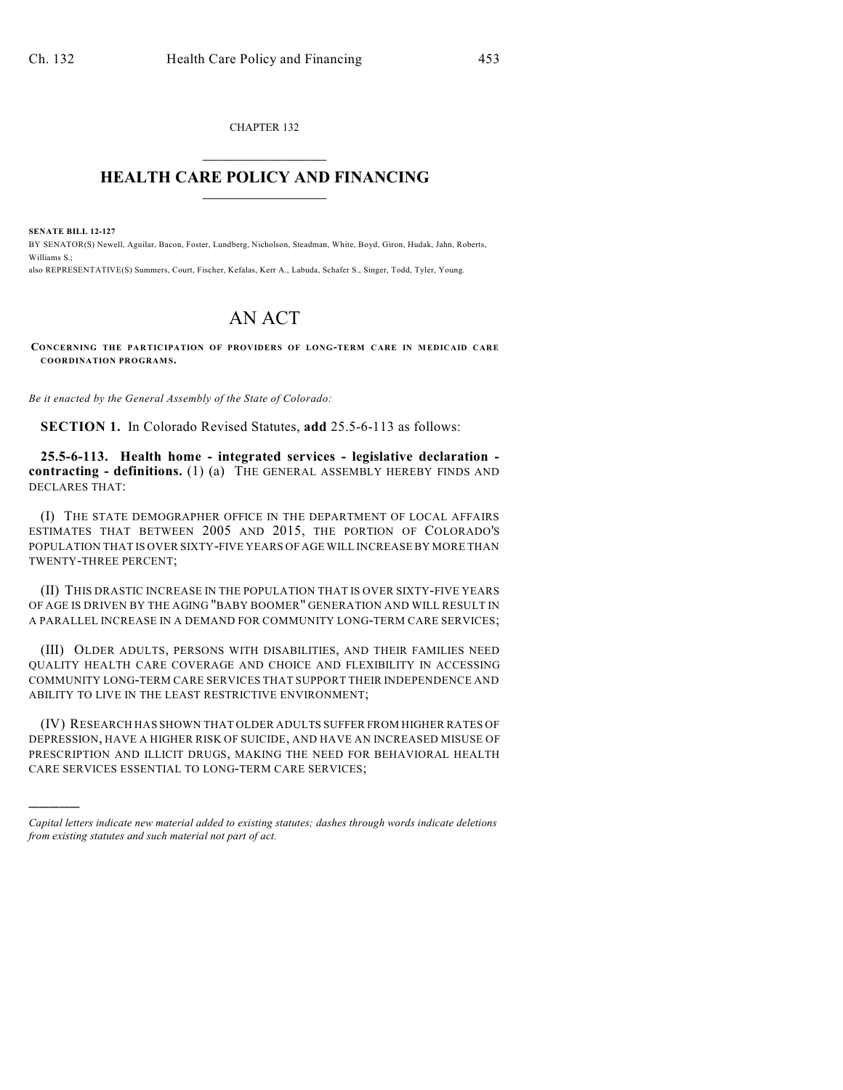CHAPTER 132  $\overline{\phantom{a}}$  . The set of the set of the set of the set of the set of the set of the set of the set of the set of the set of the set of the set of the set of the set of the set of the set of the set of the set of the set o

## **HEALTH CARE POLICY AND FINANCING**  $\_$   $\_$   $\_$   $\_$   $\_$   $\_$   $\_$   $\_$

**SENATE BILL 12-127**

)))))

BY SENATOR(S) Newell, Aguilar, Bacon, Foster, Lundberg, Nicholson, Steadman, White, Boyd, Giron, Hudak, Jahn, Roberts, Williams S.;

also REPRESENTATIVE(S) Summers, Court, Fischer, Kefalas, Kerr A., Labuda, Schafer S., Singer, Todd, Tyler, Young.

## AN ACT

**CONCERNING THE PARTICIPATION OF PROVIDERS OF LONG-TERM CARE IN MEDICAID CARE COORDINATION PROGRAMS.**

*Be it enacted by the General Assembly of the State of Colorado:*

**SECTION 1.** In Colorado Revised Statutes, **add** 25.5-6-113 as follows:

**25.5-6-113. Health home - integrated services - legislative declaration contracting - definitions.** (1) (a) THE GENERAL ASSEMBLY HEREBY FINDS AND DECLARES THAT:

(I) THE STATE DEMOGRAPHER OFFICE IN THE DEPARTMENT OF LOCAL AFFAIRS ESTIMATES THAT BETWEEN 2005 AND 2015, THE PORTION OF COLORADO'S POPULATION THAT IS OVER SIXTY-FIVE YEARS OF AGE WILL INCREASE BY MORE THAN TWENTY-THREE PERCENT;

(II) THIS DRASTIC INCREASE IN THE POPULATION THAT IS OVER SIXTY-FIVE YEARS OF AGE IS DRIVEN BY THE AGING "BABY BOOMER" GENERATION AND WILL RESULT IN A PARALLEL INCREASE IN A DEMAND FOR COMMUNITY LONG-TERM CARE SERVICES;

(III) OLDER ADULTS, PERSONS WITH DISABILITIES, AND THEIR FAMILIES NEED QUALITY HEALTH CARE COVERAGE AND CHOICE AND FLEXIBILITY IN ACCESSING COMMUNITY LONG-TERM CARE SERVICES THAT SUPPORT THEIR INDEPENDENCE AND ABILITY TO LIVE IN THE LEAST RESTRICTIVE ENVIRONMENT;

(IV) RESEARCH HAS SHOWN THAT OLDER ADULTS SUFFER FROM HIGHER RATES OF DEPRESSION, HAVE A HIGHER RISK OF SUICIDE, AND HAVE AN INCREASED MISUSE OF PRESCRIPTION AND ILLICIT DRUGS, MAKING THE NEED FOR BEHAVIORAL HEALTH CARE SERVICES ESSENTIAL TO LONG-TERM CARE SERVICES;

*Capital letters indicate new material added to existing statutes; dashes through words indicate deletions from existing statutes and such material not part of act.*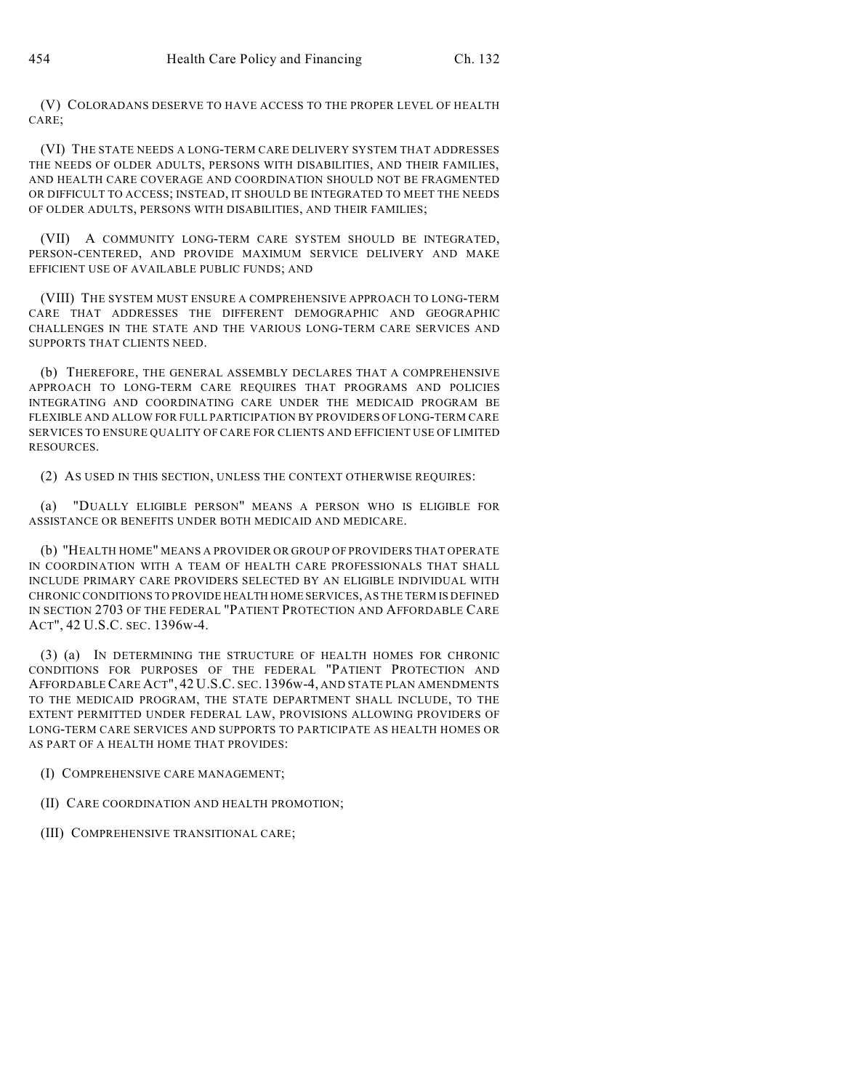(V) COLORADANS DESERVE TO HAVE ACCESS TO THE PROPER LEVEL OF HEALTH CARE;

(VI) THE STATE NEEDS A LONG-TERM CARE DELIVERY SYSTEM THAT ADDRESSES THE NEEDS OF OLDER ADULTS, PERSONS WITH DISABILITIES, AND THEIR FAMILIES, AND HEALTH CARE COVERAGE AND COORDINATION SHOULD NOT BE FRAGMENTED OR DIFFICULT TO ACCESS; INSTEAD, IT SHOULD BE INTEGRATED TO MEET THE NEEDS OF OLDER ADULTS, PERSONS WITH DISABILITIES, AND THEIR FAMILIES;

(VII) A COMMUNITY LONG-TERM CARE SYSTEM SHOULD BE INTEGRATED, PERSON-CENTERED, AND PROVIDE MAXIMUM SERVICE DELIVERY AND MAKE EFFICIENT USE OF AVAILABLE PUBLIC FUNDS; AND

(VIII) THE SYSTEM MUST ENSURE A COMPREHENSIVE APPROACH TO LONG-TERM CARE THAT ADDRESSES THE DIFFERENT DEMOGRAPHIC AND GEOGRAPHIC CHALLENGES IN THE STATE AND THE VARIOUS LONG-TERM CARE SERVICES AND SUPPORTS THAT CLIENTS NEED.

(b) THEREFORE, THE GENERAL ASSEMBLY DECLARES THAT A COMPREHENSIVE APPROACH TO LONG-TERM CARE REQUIRES THAT PROGRAMS AND POLICIES INTEGRATING AND COORDINATING CARE UNDER THE MEDICAID PROGRAM BE FLEXIBLE AND ALLOW FOR FULL PARTICIPATION BY PROVIDERS OF LONG-TERM CARE SERVICES TO ENSURE QUALITY OF CARE FOR CLIENTS AND EFFICIENT USE OF LIMITED RESOURCES.

(2) AS USED IN THIS SECTION, UNLESS THE CONTEXT OTHERWISE REQUIRES:

(a) "DUALLY ELIGIBLE PERSON" MEANS A PERSON WHO IS ELIGIBLE FOR ASSISTANCE OR BENEFITS UNDER BOTH MEDICAID AND MEDICARE.

(b) "HEALTH HOME" MEANS A PROVIDER OR GROUP OF PROVIDERS THAT OPERATE IN COORDINATION WITH A TEAM OF HEALTH CARE PROFESSIONALS THAT SHALL INCLUDE PRIMARY CARE PROVIDERS SELECTED BY AN ELIGIBLE INDIVIDUAL WITH CHRONIC CONDITIONS TO PROVIDE HEALTH HOME SERVICES, AS THE TERM IS DEFINED IN SECTION 2703 OF THE FEDERAL "PATIENT PROTECTION AND AFFORDABLE CARE ACT", 42 U.S.C. SEC. 1396w-4.

(3) (a) IN DETERMINING THE STRUCTURE OF HEALTH HOMES FOR CHRONIC CONDITIONS FOR PURPOSES OF THE FEDERAL "PATIENT PROTECTION AND AFFORDABLE CARE ACT", 42 U.S.C. SEC. 1396w-4, AND STATE PLAN AMENDMENTS TO THE MEDICAID PROGRAM, THE STATE DEPARTMENT SHALL INCLUDE, TO THE EXTENT PERMITTED UNDER FEDERAL LAW, PROVISIONS ALLOWING PROVIDERS OF LONG-TERM CARE SERVICES AND SUPPORTS TO PARTICIPATE AS HEALTH HOMES OR AS PART OF A HEALTH HOME THAT PROVIDES:

(I) COMPREHENSIVE CARE MANAGEMENT;

(II) CARE COORDINATION AND HEALTH PROMOTION;

(III) COMPREHENSIVE TRANSITIONAL CARE;